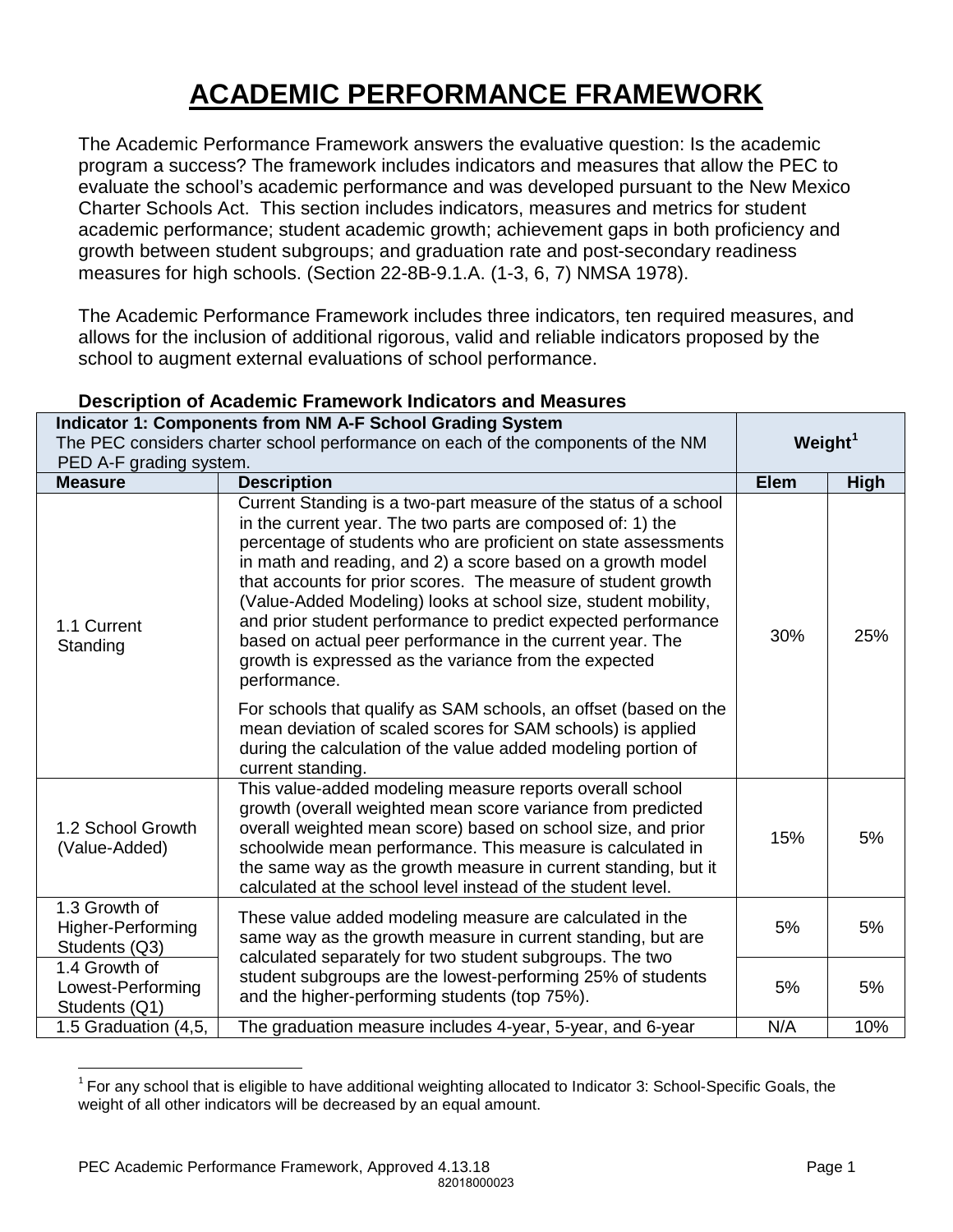# **ACADEMIC PERFORMANCE FRAMEWORK**

The Academic Performance Framework answers the evaluative question: Is the academic program a success? The framework includes indicators and measures that allow the PEC to evaluate the school's academic performance and was developed pursuant to the New Mexico Charter Schools Act. This section includes indicators, measures and metrics for student academic performance; student academic growth; achievement gaps in both proficiency and growth between student subgroups; and graduation rate and post-secondary readiness measures for high schools. (Section 22-8B-9.1.A. (1-3, 6, 7) NMSA 1978).

The Academic Performance Framework includes three indicators, ten required measures, and allows for the inclusion of additional rigorous, valid and reliable indicators proposed by the school to augment external evaluations of school performance.

|                                                                                                             | Indicator 1: Components from NM A-F School Grading System                                                                                                                                                                                                                                                                                                                                                                                                                                                                                                                                                 |            |             |
|-------------------------------------------------------------------------------------------------------------|-----------------------------------------------------------------------------------------------------------------------------------------------------------------------------------------------------------------------------------------------------------------------------------------------------------------------------------------------------------------------------------------------------------------------------------------------------------------------------------------------------------------------------------------------------------------------------------------------------------|------------|-------------|
| The PEC considers charter school performance on each of the components of the NM<br>PED A-F grading system. |                                                                                                                                                                                                                                                                                                                                                                                                                                                                                                                                                                                                           | Weight $1$ |             |
| <b>Measure</b>                                                                                              | <b>Description</b>                                                                                                                                                                                                                                                                                                                                                                                                                                                                                                                                                                                        |            | <b>High</b> |
| 1.1 Current<br>Standing                                                                                     | Current Standing is a two-part measure of the status of a school<br>in the current year. The two parts are composed of: 1) the<br>percentage of students who are proficient on state assessments<br>in math and reading, and 2) a score based on a growth model<br>that accounts for prior scores. The measure of student growth<br>(Value-Added Modeling) looks at school size, student mobility,<br>and prior student performance to predict expected performance<br>based on actual peer performance in the current year. The<br>growth is expressed as the variance from the expected<br>performance. | 30%        | 25%         |
|                                                                                                             | For schools that qualify as SAM schools, an offset (based on the<br>mean deviation of scaled scores for SAM schools) is applied<br>during the calculation of the value added modeling portion of<br>current standing.                                                                                                                                                                                                                                                                                                                                                                                     |            |             |
| 1.2 School Growth<br>(Value-Added)                                                                          | This value-added modeling measure reports overall school<br>growth (overall weighted mean score variance from predicted<br>overall weighted mean score) based on school size, and prior<br>schoolwide mean performance. This measure is calculated in<br>the same way as the growth measure in current standing, but it<br>calculated at the school level instead of the student level.                                                                                                                                                                                                                   | 15%        | 5%          |
| 1.3 Growth of<br><b>Higher-Performing</b><br>Students (Q3)                                                  | These value added modeling measure are calculated in the<br>same way as the growth measure in current standing, but are<br>calculated separately for two student subgroups. The two                                                                                                                                                                                                                                                                                                                                                                                                                       | 5%         | 5%          |
| 1.4 Growth of<br>Lowest-Performing<br>Students (Q1)                                                         | student subgroups are the lowest-performing 25% of students<br>and the higher-performing students (top 75%).                                                                                                                                                                                                                                                                                                                                                                                                                                                                                              |            | 5%          |
| 1.5 Graduation (4,5,                                                                                        | The graduation measure includes 4-year, 5-year, and 6-year                                                                                                                                                                                                                                                                                                                                                                                                                                                                                                                                                | N/A        | 10%         |

## **Description of Academic Framework Indicators and Measures**

 $\overline{a}$ 

<span id="page-0-0"></span> $1$  For any school that is eligible to have additional weighting allocated to Indicator 3: School-Specific Goals, the weight of all other indicators will be decreased by an equal amount.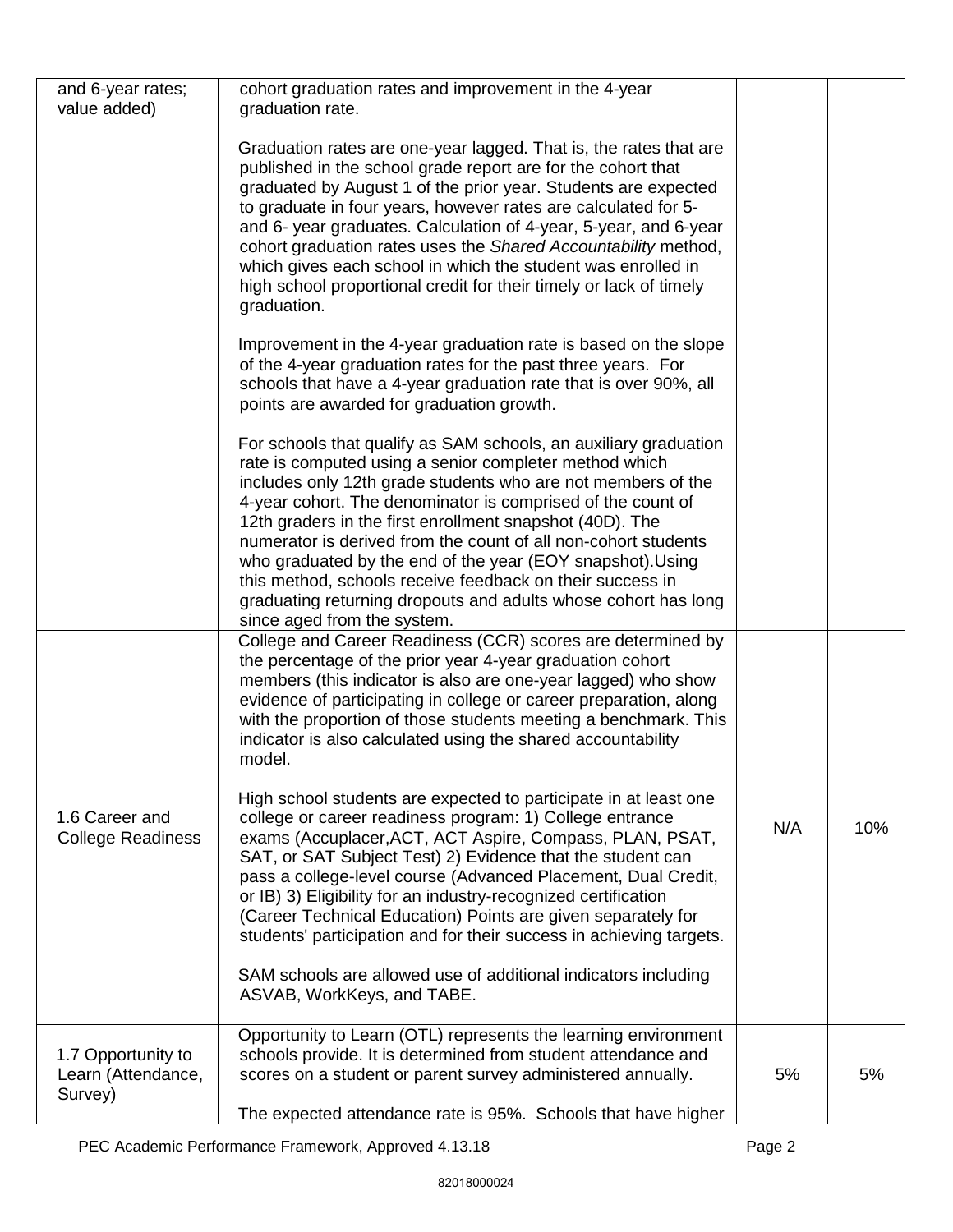| and 6-year rates;<br>value added)                   | cohort graduation rates and improvement in the 4-year<br>graduation rate.                                                                                                                                                                                                                                                                                                                                                                                                                                                                                                                                           |     |     |
|-----------------------------------------------------|---------------------------------------------------------------------------------------------------------------------------------------------------------------------------------------------------------------------------------------------------------------------------------------------------------------------------------------------------------------------------------------------------------------------------------------------------------------------------------------------------------------------------------------------------------------------------------------------------------------------|-----|-----|
|                                                     | Graduation rates are one-year lagged. That is, the rates that are<br>published in the school grade report are for the cohort that<br>graduated by August 1 of the prior year. Students are expected<br>to graduate in four years, however rates are calculated for 5-<br>and 6- year graduates. Calculation of 4-year, 5-year, and 6-year<br>cohort graduation rates uses the Shared Accountability method,<br>which gives each school in which the student was enrolled in<br>high school proportional credit for their timely or lack of timely<br>graduation.                                                    |     |     |
|                                                     | Improvement in the 4-year graduation rate is based on the slope<br>of the 4-year graduation rates for the past three years. For<br>schools that have a 4-year graduation rate that is over 90%, all<br>points are awarded for graduation growth.                                                                                                                                                                                                                                                                                                                                                                    |     |     |
|                                                     | For schools that qualify as SAM schools, an auxiliary graduation<br>rate is computed using a senior completer method which<br>includes only 12th grade students who are not members of the<br>4-year cohort. The denominator is comprised of the count of<br>12th graders in the first enrollment snapshot (40D). The<br>numerator is derived from the count of all non-cohort students<br>who graduated by the end of the year (EOY snapshot). Using<br>this method, schools receive feedback on their success in<br>graduating returning dropouts and adults whose cohort has long<br>since aged from the system. |     |     |
|                                                     | College and Career Readiness (CCR) scores are determined by<br>the percentage of the prior year 4-year graduation cohort<br>members (this indicator is also are one-year lagged) who show<br>evidence of participating in college or career preparation, along<br>with the proportion of those students meeting a benchmark. This<br>indicator is also calculated using the shared accountability<br>model.                                                                                                                                                                                                         |     |     |
| 1.6 Career and<br><b>College Readiness</b>          | High school students are expected to participate in at least one<br>college or career readiness program: 1) College entrance<br>exams (Accuplacer, ACT, ACT Aspire, Compass, PLAN, PSAT,<br>SAT, or SAT Subject Test) 2) Evidence that the student can<br>pass a college-level course (Advanced Placement, Dual Credit,<br>or IB) 3) Eligibility for an industry-recognized certification<br>(Career Technical Education) Points are given separately for<br>students' participation and for their success in achieving targets.                                                                                    | N/A | 10% |
|                                                     | SAM schools are allowed use of additional indicators including<br>ASVAB, WorkKeys, and TABE.                                                                                                                                                                                                                                                                                                                                                                                                                                                                                                                        |     |     |
| 1.7 Opportunity to<br>Learn (Attendance,<br>Survey) | Opportunity to Learn (OTL) represents the learning environment<br>schools provide. It is determined from student attendance and<br>scores on a student or parent survey administered annually.<br>The expected attendance rate is 95%. Schools that have higher                                                                                                                                                                                                                                                                                                                                                     | 5%  | 5%  |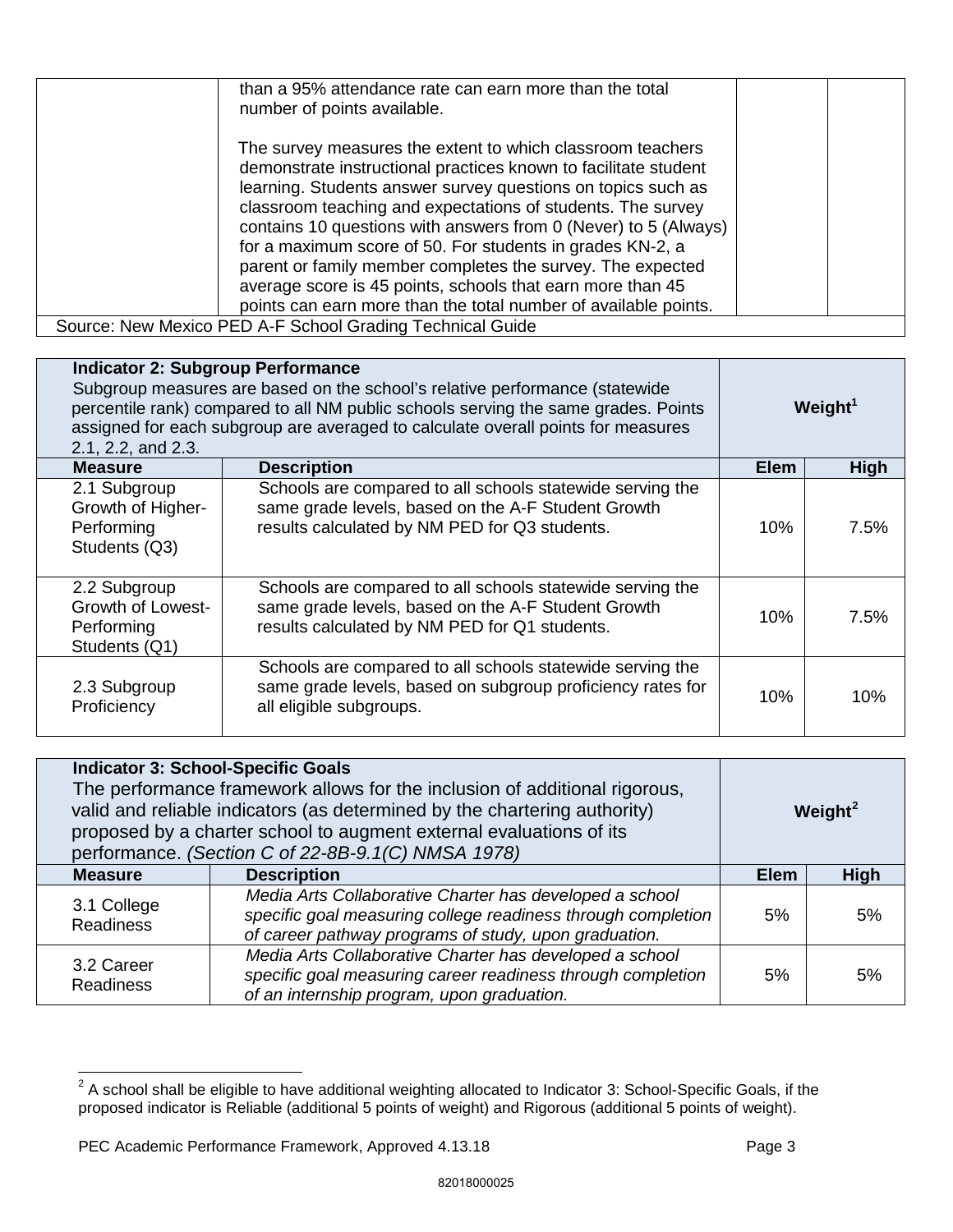| than a 95% attendance rate can earn more than the total<br>number of points available.                                                                                                                                                                                                                                                                                                                                                                                                                                                                                                      |  |
|---------------------------------------------------------------------------------------------------------------------------------------------------------------------------------------------------------------------------------------------------------------------------------------------------------------------------------------------------------------------------------------------------------------------------------------------------------------------------------------------------------------------------------------------------------------------------------------------|--|
| The survey measures the extent to which classroom teachers<br>demonstrate instructional practices known to facilitate student<br>learning. Students answer survey questions on topics such as<br>classroom teaching and expectations of students. The survey<br>contains 10 questions with answers from 0 (Never) to 5 (Always)<br>for a maximum score of 50. For students in grades KN-2, a<br>parent or family member completes the survey. The expected<br>average score is 45 points, schools that earn more than 45<br>points can earn more than the total number of available points. |  |
| Source: New Mexico PED A-F School Grading Technical Guide                                                                                                                                                                                                                                                                                                                                                                                                                                                                                                                                   |  |

| <b>Indicator 2: Subgroup Performance</b><br>Subgroup measures are based on the school's relative performance (statewide<br>percentile rank) compared to all NM public schools serving the same grades. Points<br>assigned for each subgroup are averaged to calculate overall points for measures<br>2.1, 2.2, and 2.3. |                                                                                                                                                                  | Weight $1$  |             |
|-------------------------------------------------------------------------------------------------------------------------------------------------------------------------------------------------------------------------------------------------------------------------------------------------------------------------|------------------------------------------------------------------------------------------------------------------------------------------------------------------|-------------|-------------|
| <b>Measure</b>                                                                                                                                                                                                                                                                                                          | <b>Description</b>                                                                                                                                               | <b>Elem</b> | <b>High</b> |
| 2.1 Subgroup<br>Growth of Higher-<br>Performing<br>Students (Q3)                                                                                                                                                                                                                                                        | Schools are compared to all schools statewide serving the<br>same grade levels, based on the A-F Student Growth<br>results calculated by NM PED for Q3 students. | 10%         | 7.5%        |
| 2.2 Subgroup<br>Growth of Lowest-<br>Performing<br>Students (Q1)                                                                                                                                                                                                                                                        | Schools are compared to all schools statewide serving the<br>same grade levels, based on the A-F Student Growth<br>results calculated by NM PED for Q1 students. | 10%         | 7.5%        |
| 2.3 Subgroup<br>Proficiency                                                                                                                                                                                                                                                                                             | Schools are compared to all schools statewide serving the<br>same grade levels, based on subgroup proficiency rates for<br>all eligible subgroups.               | 10%         | 10%         |

| <b>Indicator 3: School-Specific Goals</b><br>The performance framework allows for the inclusion of additional rigorous,<br>valid and reliable indicators (as determined by the chartering authority)<br>proposed by a charter school to augment external evaluations of its<br>performance. (Section C of 22-8B-9.1(C) NMSA 1978) |                                                                                                                                                                                  | Weight <sup>2</sup> |      |
|-----------------------------------------------------------------------------------------------------------------------------------------------------------------------------------------------------------------------------------------------------------------------------------------------------------------------------------|----------------------------------------------------------------------------------------------------------------------------------------------------------------------------------|---------------------|------|
| <b>Measure</b>                                                                                                                                                                                                                                                                                                                    | <b>Description</b>                                                                                                                                                               | <b>Elem</b>         | High |
| 3.1 College<br><b>Readiness</b>                                                                                                                                                                                                                                                                                                   | Media Arts Collaborative Charter has developed a school<br>specific goal measuring college readiness through completion<br>of career pathway programs of study, upon graduation. | 5%                  | 5%   |
| 3.2 Career<br><b>Readiness</b>                                                                                                                                                                                                                                                                                                    | Media Arts Collaborative Charter has developed a school<br>specific goal measuring career readiness through completion<br>of an internship program, upon graduation.             | 5%                  | 5%   |

 $\overline{a}$ 

<span id="page-2-0"></span> $2$  A school shall be eligible to have additional weighting allocated to Indicator 3: School-Specific Goals, if the proposed indicator is Reliable (additional 5 points of weight) and Rigorous (additional 5 points of weight).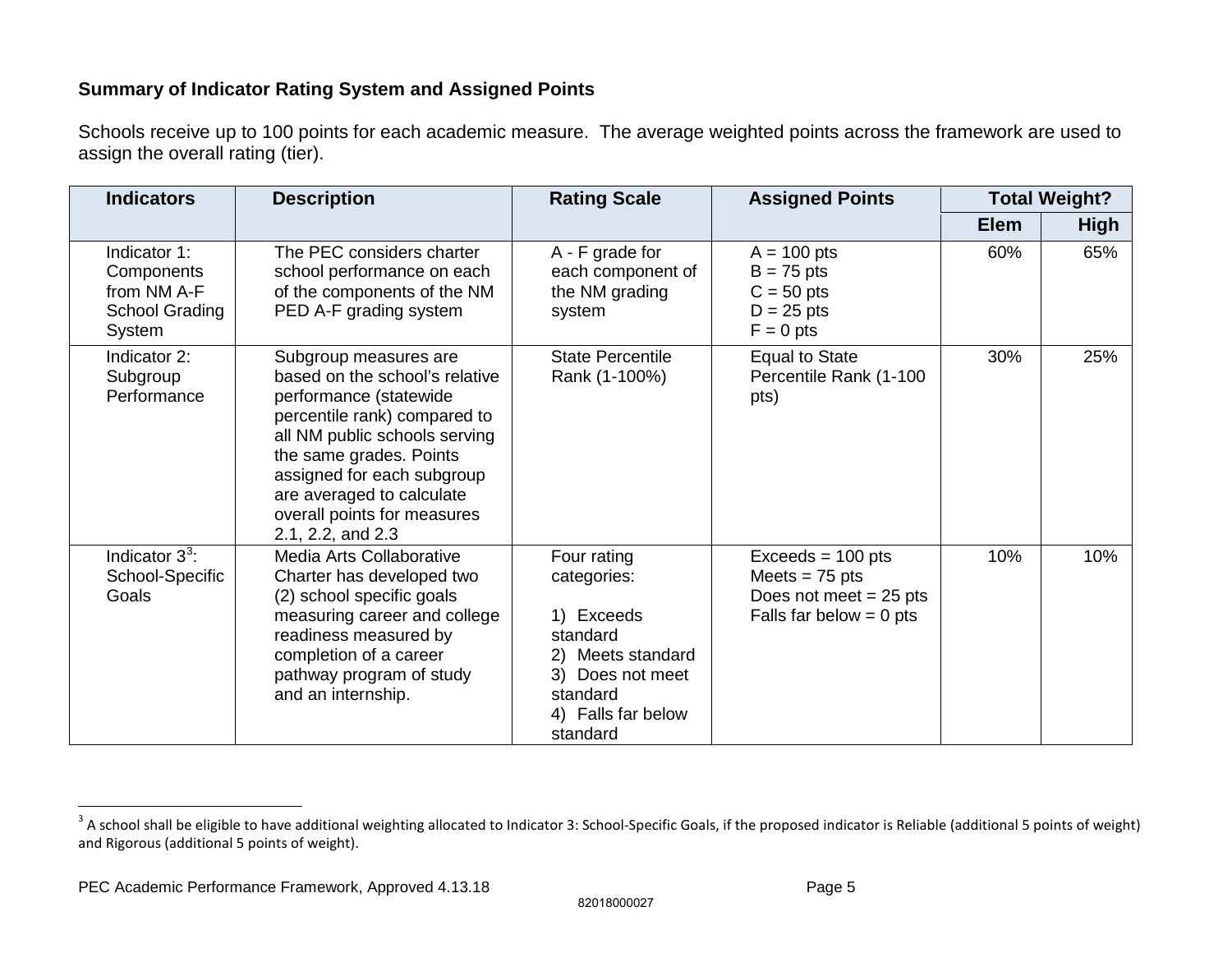# <span id="page-4-0"></span>**Summary of Indicator Rating System and Assigned Points**

Schools receive up to 100 points for each academic measure. The average weighted points across the framework are used to assign the overall rating (tier).

| <b>Indicators</b>                                                            | <b>Description</b>                                                                                                                                                                                                                                                                           | <b>Rating Scale</b>                                                                                                                         | <b>Assigned Points</b>                                                                           | <b>Total Weight?</b> |             |
|------------------------------------------------------------------------------|----------------------------------------------------------------------------------------------------------------------------------------------------------------------------------------------------------------------------------------------------------------------------------------------|---------------------------------------------------------------------------------------------------------------------------------------------|--------------------------------------------------------------------------------------------------|----------------------|-------------|
|                                                                              |                                                                                                                                                                                                                                                                                              |                                                                                                                                             |                                                                                                  | <b>Elem</b>          | <b>High</b> |
| Indicator 1:<br>Components<br>from NM A-F<br><b>School Grading</b><br>System | The PEC considers charter<br>school performance on each<br>of the components of the NM<br>PED A-F grading system                                                                                                                                                                             | A - F grade for<br>each component of<br>the NM grading<br>system                                                                            | $A = 100$ pts<br>$B = 75$ pts<br>$C = 50$ pts<br>$D = 25$ pts<br>$F = 0$ pts                     | 60%                  | 65%         |
| Indicator 2:<br>Subgroup<br>Performance                                      | Subgroup measures are<br>based on the school's relative<br>performance (statewide<br>percentile rank) compared to<br>all NM public schools serving<br>the same grades. Points<br>assigned for each subgroup<br>are averaged to calculate<br>overall points for measures<br>2.1, 2.2, and 2.3 | <b>State Percentile</b><br>Rank (1-100%)                                                                                                    | <b>Equal to State</b><br>Percentile Rank (1-100<br>pts)                                          | 30%                  | 25%         |
| Indicator $3^3$ :<br>School-Specific<br>Goals                                | Media Arts Collaborative<br>Charter has developed two<br>(2) school specific goals<br>measuring career and college<br>readiness measured by<br>completion of a career<br>pathway program of study<br>and an internship.                                                                      | Four rating<br>categories:<br>1) Exceeds<br>standard<br>2) Meets standard<br>3) Does not meet<br>standard<br>4) Falls far below<br>standard | $Exceeds = 100 pts$<br>Meets = $75$ pts<br>Does not meet $= 25$ pts<br>Falls far below $= 0$ pts | 10%                  | 10%         |

82018000027

 $\overline{a}$ 

 $^3$  A school shall be eligible to have additional weighting allocated to Indicator 3: School-Specific Goals, if the proposed indicator is Reliable (additional 5 points of weight) and Rigorous (additional 5 points of weight).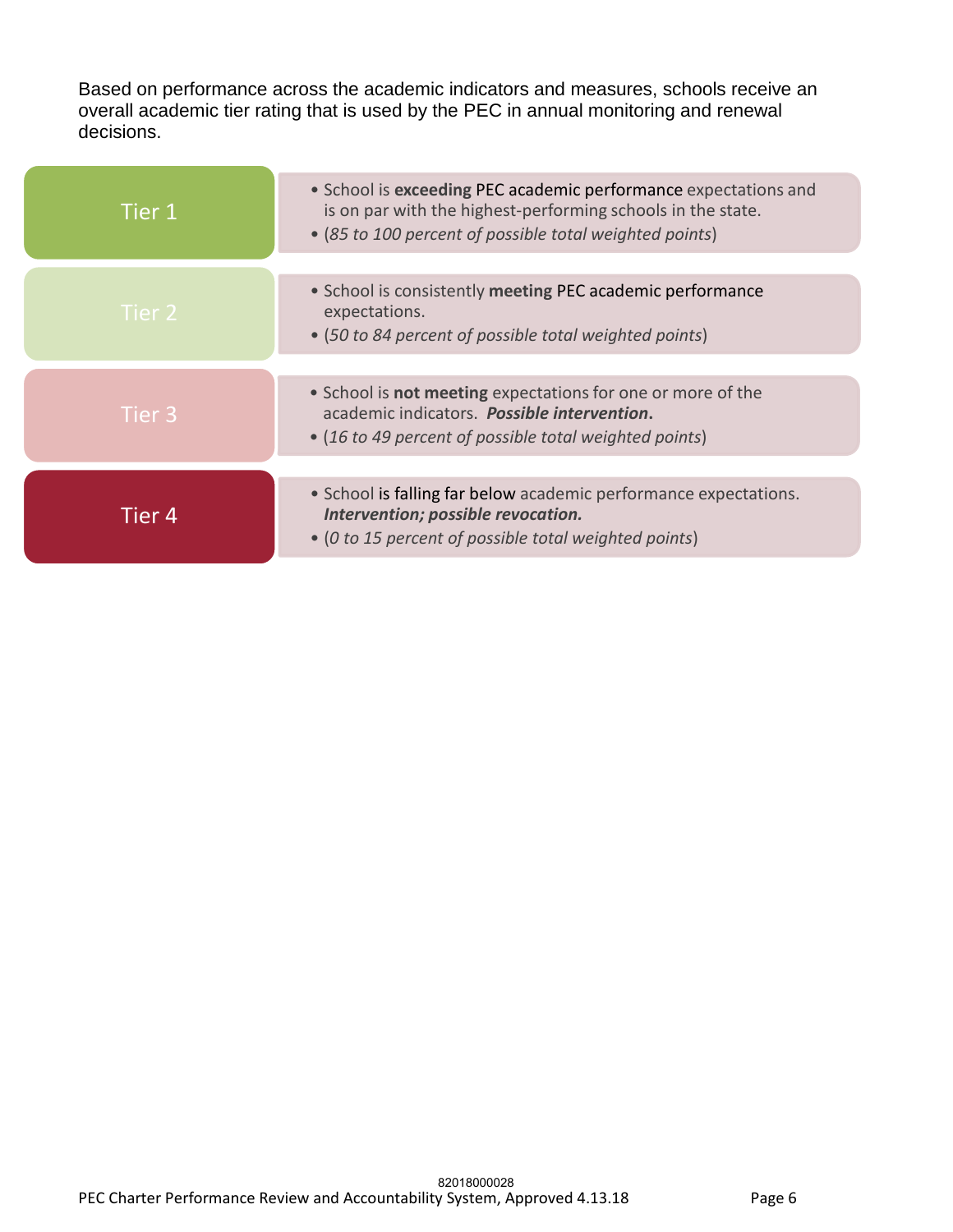Based on performance across the academic indicators and measures, schools receive an overall academic tier rating that is used by the PEC in annual monitoring and renewal decisions.

| Tier 1 | • School is exceeding PEC academic performance expectations and<br>is on par with the highest-performing schools in the state.<br>• (85 to 100 percent of possible total weighted points) |
|--------|-------------------------------------------------------------------------------------------------------------------------------------------------------------------------------------------|
| Tier 2 | • School is consistently meeting PEC academic performance<br>expectations.<br>• (50 to 84 percent of possible total weighted points)                                                      |
| Tier 3 | • School is <b>not meeting</b> expectations for one or more of the<br>academic indicators. Possible intervention.<br>• (16 to 49 percent of possible total weighted points)               |
| Tier 4 | • School is falling far below academic performance expectations.<br>Intervention; possible revocation.<br>• (0 to 15 percent of possible total weighted points)                           |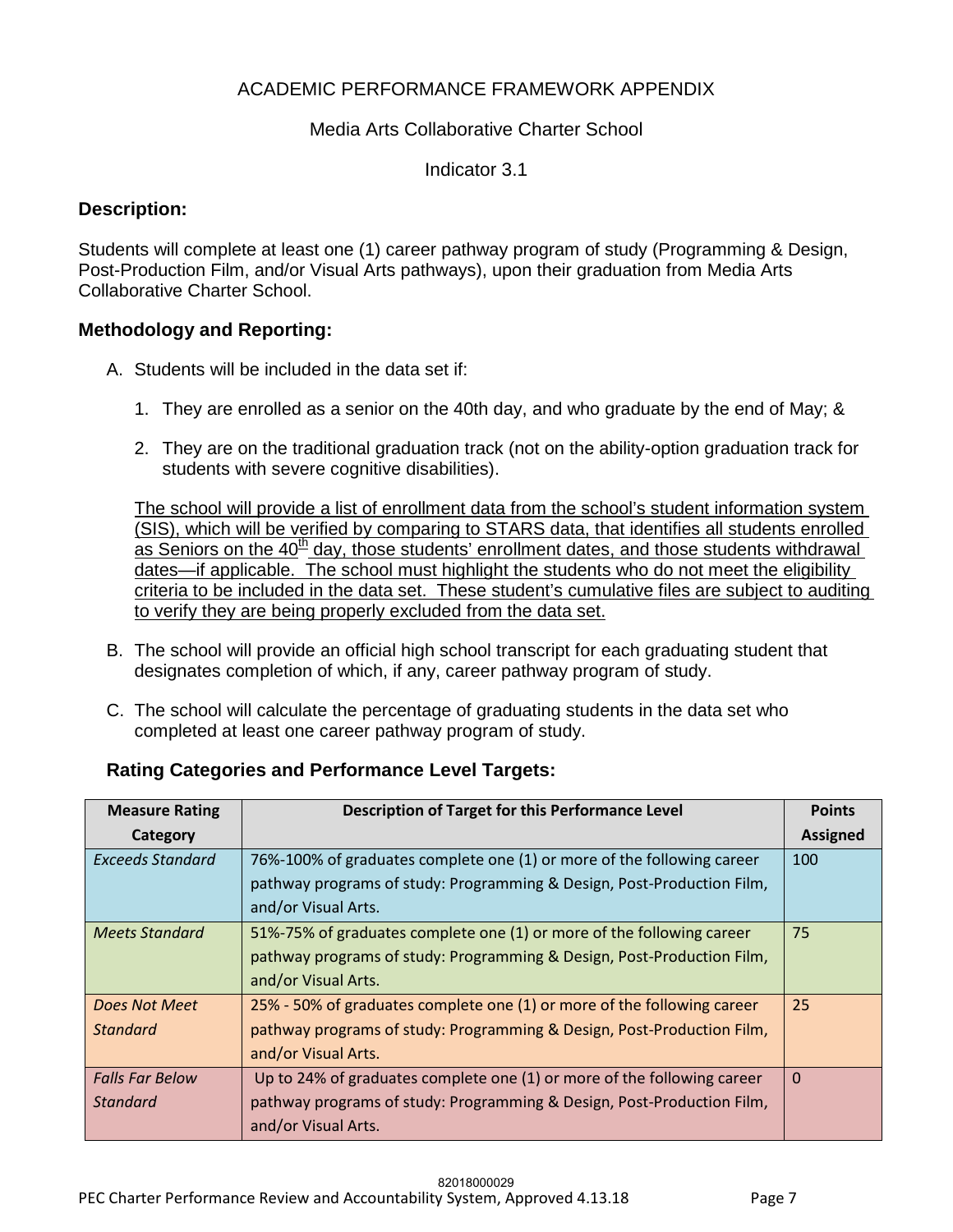# ACADEMIC PERFORMANCE FRAMEWORK APPENDIX

## Media Arts Collaborative Charter School

Indicator 3.1

## **Description:**

Students will complete at least one (1) career pathway program of study (Programming & Design, Post-Production Film, and/or Visual Arts pathways), upon their graduation from Media Arts Collaborative Charter School.

### **Methodology and Reporting:**

- A. Students will be included in the data set if:
	- 1. They are enrolled as a senior on the 40th day, and who graduate by the end of May; &
	- 2. They are on the traditional graduation track (not on the ability-option graduation track for students with severe cognitive disabilities).

The school will provide a list of enrollment data from the school's student information system (SIS), which will be verified by comparing to STARS data, that identifies all students enrolled as Seniors on the  $40<sup>th</sup>$  day, those students' enrollment dates, and those students withdrawal dates—if applicable. The school must highlight the students who do not meet the eligibility criteria to be included in the data set. These student's cumulative files are subject to auditing to verify they are being properly excluded from the data set.

- B. The school will provide an official high school transcript for each graduating student that designates completion of which, if any, career pathway program of study.
- C. The school will calculate the percentage of graduating students in the data set who completed at least one career pathway program of study.

| <b>Rating Categories and Performance Level Targets:</b> |  |
|---------------------------------------------------------|--|
|                                                         |  |

| <b>Measure Rating</b>  | Description of Target for this Performance Level                        | <b>Points</b>   |
|------------------------|-------------------------------------------------------------------------|-----------------|
| Category               |                                                                         | <b>Assigned</b> |
| Exceeds Standard       | 76%-100% of graduates complete one (1) or more of the following career  | 100             |
|                        | pathway programs of study: Programming & Design, Post-Production Film,  |                 |
|                        | and/or Visual Arts.                                                     |                 |
| <b>Meets Standard</b>  | 51%-75% of graduates complete one (1) or more of the following career   | 75              |
|                        | pathway programs of study: Programming & Design, Post-Production Film,  |                 |
|                        | and/or Visual Arts.                                                     |                 |
| Does Not Meet          | 25% - 50% of graduates complete one (1) or more of the following career | 25              |
| <b>Standard</b>        | pathway programs of study: Programming & Design, Post-Production Film,  |                 |
|                        | and/or Visual Arts.                                                     |                 |
| <b>Falls Far Below</b> | Up to 24% of graduates complete one (1) or more of the following career | $\Omega$        |
| <b>Standard</b>        | pathway programs of study: Programming & Design, Post-Production Film,  |                 |
|                        | and/or Visual Arts.                                                     |                 |